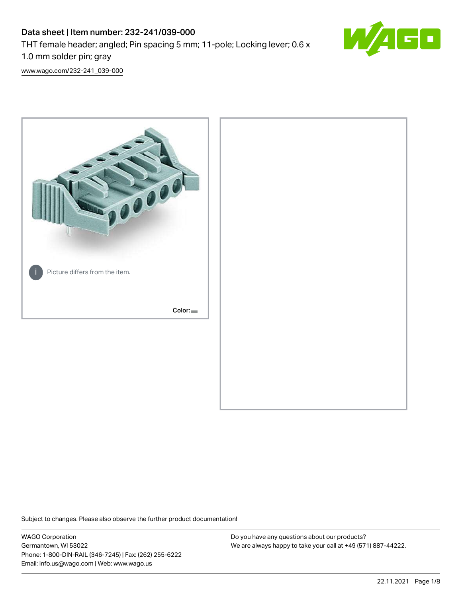# Data sheet | Item number: 232-241/039-000 THT female header; angled; Pin spacing 5 mm; 11-pole; Locking lever; 0.6 x 1.0 mm solder pin; gray



[www.wago.com/232-241\\_039-000](http://www.wago.com/232-241_039-000)



Subject to changes. Please also observe the further product documentation!

WAGO Corporation Germantown, WI 53022 Phone: 1-800-DIN-RAIL (346-7245) | Fax: (262) 255-6222 Email: info.us@wago.com | Web: www.wago.us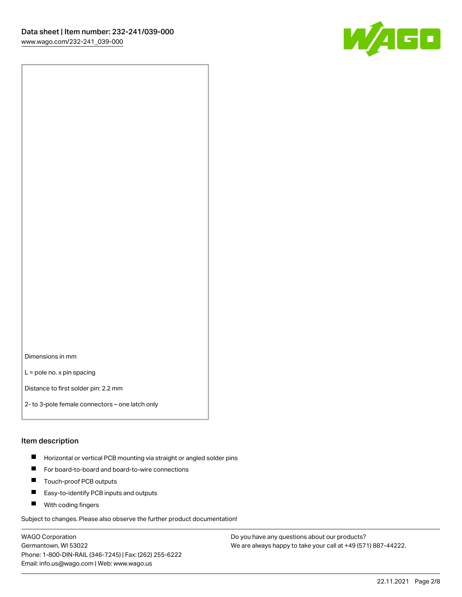

Dimensions in mm

L = pole no. x pin spacing

Distance to first solder pin: 2.2 mm

2- to 3-pole female connectors – one latch only

#### Item description

- **Horizontal or vertical PCB mounting via straight or angled solder pins**
- For board-to-board and board-to-wire connections
- $\blacksquare$ Touch-proof PCB outputs
- $\blacksquare$ Easy-to-identify PCB inputs and outputs
- **Now With coding fingers**

Subject to changes. Please also observe the further product documentation!

WAGO Corporation Germantown, WI 53022 Phone: 1-800-DIN-RAIL (346-7245) | Fax: (262) 255-6222 Email: info.us@wago.com | Web: www.wago.us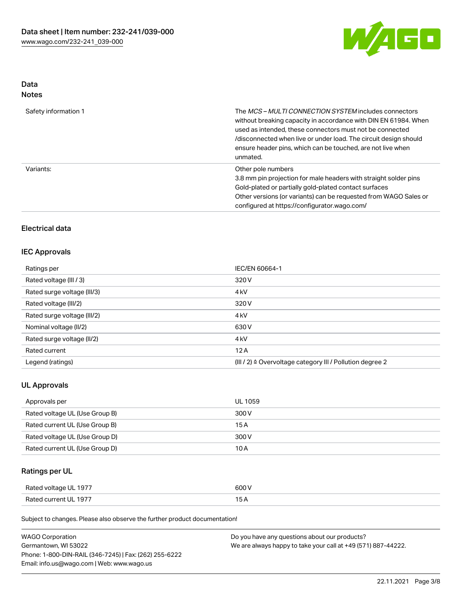

# Data

| Safety information 1 | The <i>MCS – MULTI CONNECTION SYSTEM</i> includes connectors<br>without breaking capacity in accordance with DIN EN 61984. When<br>used as intended, these connectors must not be connected<br>/disconnected when live or under load. The circuit design should<br>ensure header pins, which can be touched, are not live when<br>unmated. |
|----------------------|--------------------------------------------------------------------------------------------------------------------------------------------------------------------------------------------------------------------------------------------------------------------------------------------------------------------------------------------|
| Variants:            | Other pole numbers<br>3.8 mm pin projection for male headers with straight solder pins<br>Gold-plated or partially gold-plated contact surfaces<br>Other versions (or variants) can be requested from WAGO Sales or<br>configured at https://configurator.wago.com/                                                                        |

# Electrical data

### IEC Approvals

| Ratings per                 | IEC/EN 60664-1                                                       |
|-----------------------------|----------------------------------------------------------------------|
| Rated voltage (III / 3)     | 320 V                                                                |
| Rated surge voltage (III/3) | 4 <sub>k</sub> V                                                     |
| Rated voltage (III/2)       | 320 V                                                                |
| Rated surge voltage (III/2) | 4 <sub>k</sub> V                                                     |
| Nominal voltage (II/2)      | 630 V                                                                |
| Rated surge voltage (II/2)  | 4 <sub>k</sub> V                                                     |
| Rated current               | 12A                                                                  |
| Legend (ratings)            | (III / 2) $\triangleq$ Overvoltage category III / Pollution degree 2 |

### UL Approvals

| Approvals per                  | UL 1059 |
|--------------------------------|---------|
| Rated voltage UL (Use Group B) | 300 V   |
| Rated current UL (Use Group B) | 15 A    |
| Rated voltage UL (Use Group D) | 300 V   |
| Rated current UL (Use Group D) | 10 A    |

## Ratings per UL

| Rated voltage UL 1977 | 600 V |
|-----------------------|-------|
| Rated current UL 1977 |       |

Subject to changes. Please also observe the further product documentation!

| <b>WAGO Corporation</b>                                | Do you have any questions about our products?                 |
|--------------------------------------------------------|---------------------------------------------------------------|
| Germantown, WI 53022                                   | We are always happy to take your call at +49 (571) 887-44222. |
| Phone: 1-800-DIN-RAIL (346-7245)   Fax: (262) 255-6222 |                                                               |
| Email: info.us@wago.com   Web: www.wago.us             |                                                               |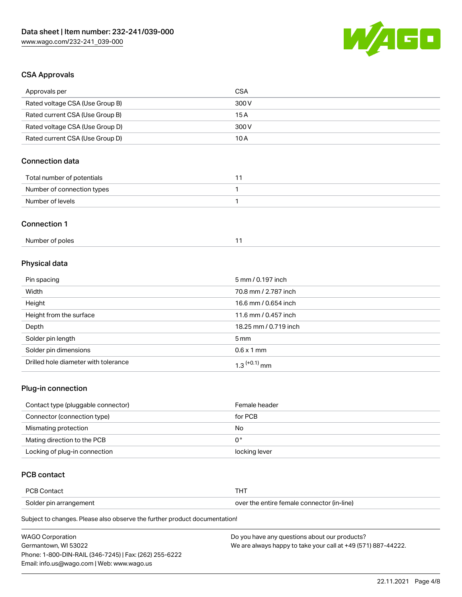

# CSA Approvals

| Approvals per                   | <b>CSA</b>        |
|---------------------------------|-------------------|
| Rated voltage CSA (Use Group B) | 300 V             |
| Rated current CSA (Use Group B) | 15A               |
| Rated voltage CSA (Use Group D) | 300 V             |
| Rated current CSA (Use Group D) | 10A               |
| Connection data                 |                   |
| Total number of potentials      | 11                |
| Number of connection types      | $\mathbf{1}$      |
| Number of levels                | 1                 |
| <b>Connection 1</b>             |                   |
| Number of poles                 | 11                |
| Physical data                   |                   |
| Pin spacing                     | 5 mm / 0.197 inch |

| $1.11$ opao $1.1$                    |                       |
|--------------------------------------|-----------------------|
| Width                                | 70.8 mm / 2.787 inch  |
| Height                               | 16.6 mm / 0.654 inch  |
| Height from the surface              | 11.6 mm / 0.457 inch  |
| Depth                                | 18.25 mm / 0.719 inch |
| Solder pin length                    | 5 mm                  |
| Solder pin dimensions                | $0.6 \times 1$ mm     |
| Drilled hole diameter with tolerance | $1.3$ $(+0.1)$ mm     |

# Plug-in connection

| Contact type (pluggable connector) | Female header |
|------------------------------------|---------------|
| Connector (connection type)        | for PCB       |
| Mismating protection               | No            |
| Mating direction to the PCB        | 0°            |
| Locking of plug-in connection      | locking lever |

## PCB contact

| <b>PCB Contact</b>     |                                            |
|------------------------|--------------------------------------------|
| Solder pin arrangement | over the entire female connector (in-line) |

Subject to changes. Please also observe the further product documentation!

| <b>WAGO Corporation</b>                                | Do you have any questions about our products?                 |
|--------------------------------------------------------|---------------------------------------------------------------|
| Germantown, WI 53022                                   | We are always happy to take your call at +49 (571) 887-44222. |
| Phone: 1-800-DIN-RAIL (346-7245)   Fax: (262) 255-6222 |                                                               |
| Email: info.us@wago.com   Web: www.wago.us             |                                                               |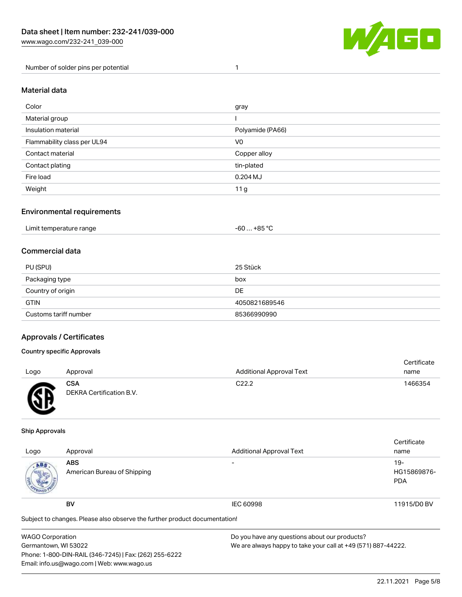

Number of solder pins per potential 1

### Material data

| Color                       | gray             |
|-----------------------------|------------------|
| Material group              |                  |
| Insulation material         | Polyamide (PA66) |
| Flammability class per UL94 | V <sub>0</sub>   |
| Contact material            | Copper alloy     |
| Contact plating             | tin-plated       |
| Fire load                   | $0.204$ MJ       |
| Weight                      | 11 g             |

### Environmental requirements

### Commercial data

| PU (SPU)              | 25 Stück      |
|-----------------------|---------------|
| Packaging type        | box           |
| Country of origin     | DE.           |
| <b>GTIN</b>           | 4050821689546 |
| Customs tariff number | 85366990990   |

### Approvals / Certificates

#### Country specific Approvals

| Logo | Approval                               | <b>Additional Approval Text</b> | Certificate<br>name |
|------|----------------------------------------|---------------------------------|---------------------|
| ЛR   | <b>CSA</b><br>DEKRA Certification B.V. | C <sub>22.2</sub>               | 1466354             |

#### Ship Approvals

| Logo                                                                       | Approval                                  | <b>Additional Approval Text</b> | Certificate<br>name                |
|----------------------------------------------------------------------------|-------------------------------------------|---------------------------------|------------------------------------|
| ABS.                                                                       | <b>ABS</b><br>American Bureau of Shipping |                                 | $19-$<br>HG15869876-<br><b>PDA</b> |
|                                                                            | BV                                        | <b>IEC 60998</b>                | 11915/D0 BV                        |
| Subject to changes. Please also observe the further product documentation! |                                           |                                 |                                    |

| <b>WAGO Corporation</b>                                | Do you have any questions about our products?                 |  |
|--------------------------------------------------------|---------------------------------------------------------------|--|
| Germantown, WI 53022                                   | We are always happy to take your call at +49 (571) 887-44222. |  |
| Phone: 1-800-DIN-RAIL (346-7245)   Fax: (262) 255-6222 |                                                               |  |
| Email: info.us@wago.com   Web: www.wago.us             |                                                               |  |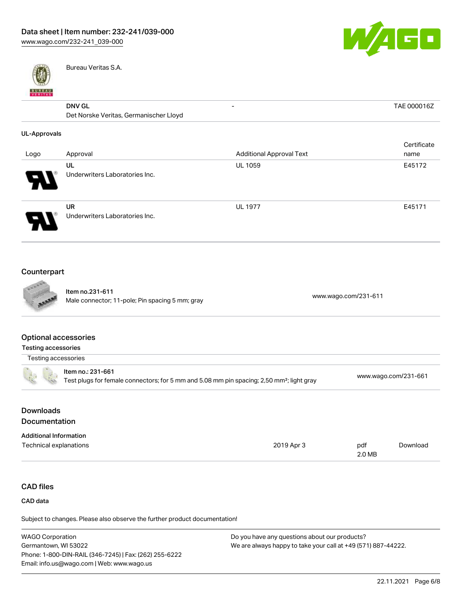

- TAE 000016Z



Bureau Veritas S.A.

# $\overline{DNN}$  GL

| <b>DNV GL</b>                          |  |
|----------------------------------------|--|
| Det Norske Veritas, Germanischer Lloyd |  |

#### UL-Approvals

| Logo                  | Approval                                    | <b>Additional Approval Text</b> | Certificate<br>name |
|-----------------------|---------------------------------------------|---------------------------------|---------------------|
| $\boldsymbol{\theta}$ | UL<br>Underwriters Laboratories Inc.        | <b>UL 1059</b>                  | E45172              |
| 9.                    | <b>UR</b><br>Underwriters Laboratories Inc. | <b>UL 1977</b>                  | E45171              |

## Counterpart



Item no.231-611 Nell 110.251-611<br>Male connector; 11-pole; Pin spacing 5 mm; gray [www.wago.com/231-611](https://www.wago.com/231-611)

### Optional accessories

| Testing accessories |                                                                                                                            |                      |
|---------------------|----------------------------------------------------------------------------------------------------------------------------|----------------------|
| Testing accessories |                                                                                                                            |                      |
|                     | ltem no.: 231-661<br>Test plugs for female connectors; for 5 mm and 5.08 mm pin spacing; 2,50 mm <sup>2</sup> ; light gray | www.wago.com/231-661 |
|                     |                                                                                                                            |                      |

# Downloads **Documentation**

| <b>Additional Information</b> |            |        |          |
|-------------------------------|------------|--------|----------|
| Technical explanations        | 2019 Apr 3 | pdf    | Download |
|                               |            | 2.0 MB |          |

# CAD files

#### CAD data

Subject to changes. Please also observe the further product documentation!

| <b>WAGO Corporation</b>                                | Do you have any questions about our products?                 |
|--------------------------------------------------------|---------------------------------------------------------------|
| Germantown, WI 53022                                   | We are always happy to take your call at +49 (571) 887-44222. |
| Phone: 1-800-DIN-RAIL (346-7245)   Fax: (262) 255-6222 |                                                               |
| Email: info.us@wago.com   Web: www.wago.us             |                                                               |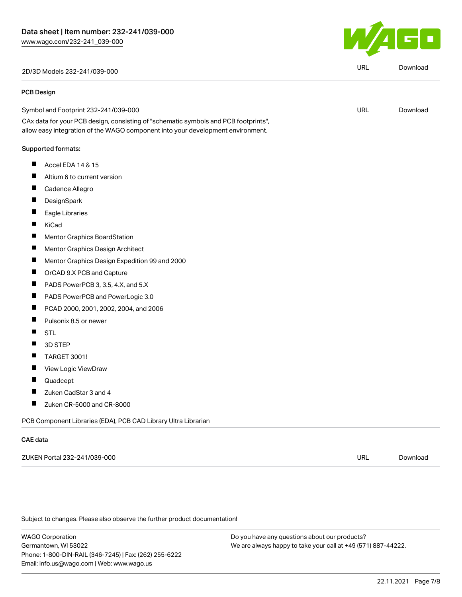2D/3D Models 232-241/039-000 URL [Download](https://www.wago.com/global/d/3D_URLS_232-241_039-000)

#### PCB Design

Symbol and Footprint 232-241/039-000 CAx data for your PCB design, consisting of "schematic symbols and PCB footprints", URL [Download](https://www.wago.com/global/d/UltraLibrarian_URLS_232-241_039-000)

allow easy integration of the WAGO component into your development environment.

#### Supported formats:

- $\blacksquare$ Accel EDA 14 & 15
- ш Altium 6 to current version
- П Cadence Allegro
- П **DesignSpark**
- П Eagle Libraries
- KiCad  $\blacksquare$
- П Mentor Graphics BoardStation
- П Mentor Graphics Design Architect
- П Mentor Graphics Design Expedition 99 and 2000
- $\blacksquare$ OrCAD 9.X PCB and Capture
- $\blacksquare$ PADS PowerPCB 3, 3.5, 4.X, and 5.X
- П PADS PowerPCB and PowerLogic 3.0
- П PCAD 2000, 2001, 2002, 2004, and 2006
- П Pulsonix 8.5 or newer
- П **STL**
- $\blacksquare$ 3D STEP
- $\blacksquare$ TARGET 3001!
- $\blacksquare$ View Logic ViewDraw
- П Quadcept
- П Zuken CadStar 3 and 4
- $\blacksquare$ Zuken CR-5000 and CR-8000

PCB Component Libraries (EDA), PCB CAD Library Ultra Librarian

#### CAE data

ZUKEN Portal 232-241/039-000 URL [Download](https://www.wago.com/global/d/Zuken_URLS_232-241_039-000)

Subject to changes. Please also observe the further product documentation!

WAGO Corporation Germantown, WI 53022 Phone: 1-800-DIN-RAIL (346-7245) | Fax: (262) 255-6222 Email: info.us@wago.com | Web: www.wago.us